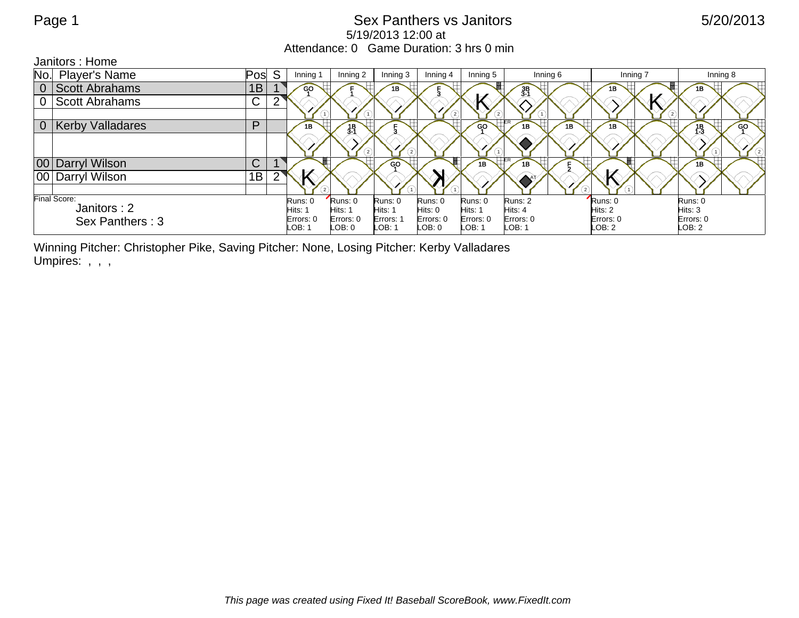## Page 1 Sex Panthers vs Janitors 6/20/2013 5/19/2013 12:00 at Attendance: 0 Game Duration: 3 hrs 0 min

Janitors : Home

| No.                                            | Player's Name           | Pos         | <sub>S</sub> | Inning 1  | Inning 2          | Inning 3  | Inning 4  | Inning 5        | Inning 6         | Inning 7  | Inning 8 |
|------------------------------------------------|-------------------------|-------------|--------------|-----------|-------------------|-----------|-----------|-----------------|------------------|-----------|----------|
| 0                                              | <b>Scott Abrahams</b>   | 1B          |              | GO        |                   | 1B        |           |                 | $\frac{3B}{3-1}$ | 1B        |          |
| $\overline{0}$                                 | <b>Scott Abrahams</b>   | $\mathsf C$ |              |           |                   |           |           |                 |                  |           |          |
|                                                |                         |             |              |           |                   |           | $^{(2)}$  |                 |                  |           |          |
| $\overline{0}$                                 | <b>Kerby Valladares</b> | P           |              | 1B        | 3 <sup>1</sup>    |           |           | GO <sup>-</sup> | 1B<br>1B         | 1B        | GO<br>13 |
|                                                |                         |             |              |           | $\left( 2\right)$ |           |           |                 |                  |           | 6        |
|                                                | 00 Darryl Wilson        | C           |              |           |                   | GO        |           | 1B              | 1B               |           | 1B       |
|                                                | 00 Darryl Wilson        | 1B          |              |           |                   |           |           |                 |                  |           |          |
|                                                |                         |             |              |           |                   |           |           |                 |                  |           |          |
| Final Score:<br>Janitors: 2<br>Sex Panthers: 3 |                         |             | Runs: 0      | Runs: 0   | Runs: 0           | Runs: 0   | Runs: 0   | Runs: 2         | Runs: 0          | Runs: 0   |          |
|                                                |                         |             | Hits: 1      | Hits: 1   | Hits: 1           | Hits: 0   | Hits: 1   | Hits: 4         | Hits: 2          | Hits: 3   |          |
|                                                |                         |             | Errors: 0    | Errors: 0 | Errors: 1         | Errors: 0 | Errors: 0 | Errors: 0       | Errors: 0        | Errors: 0 |          |
|                                                |                         |             |              | LOB: 1    | LOB: 0            | LOB: 1    | LOB:0     | LOB: 1          | LOB: 1           | LOB: 2    | LOB: 2   |

Winning Pitcher: Christopher Pike, Saving Pitcher: None, Losing Pitcher: Kerby Valladares Umpires: , , ,